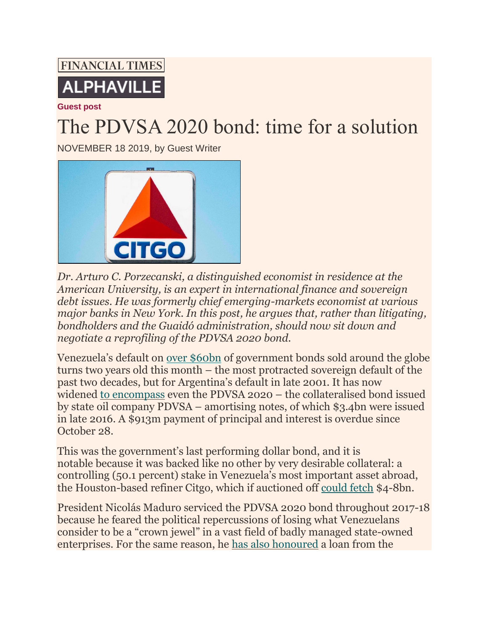## **FINANCIAL TIMES ALPHAVILLE**

**[Guest post](https://ftalphaville.ft.com/type/Guest%20post)**

## The PDVSA 2020 bond: time for a solution

NOVEMBER 18 2019, by Guest Writer



*Dr. Arturo C. Porzecanski, a distinguished economist in residence at the American University, is an expert in international finance and sovereign debt issues. He was formerly chief emerging-markets economist at various major banks in New York. In this post, he argues that, rather than litigating, bondholders and the Guaidó administration, should now sit down and negotiate a reprofiling of the PDVSA 2020 bond.*

Venezuela's default on [over \\$60bn](https://joi.pm-research.com/content/27/3/37) of government bonds sold around the globe turns two years old this month – the most protracted sovereign default of the past two decades, but for Argentina's default in late 2001. It has now widened [to encompass](https://www.bloomberg.com/news/articles/2019-10-28/venezuela-defaults-on-its-last-bond-setting-up-legal-showdown) even the PDVSA 2020 – the collateralised bond issued by state oil company PDVSA – amortising notes, of which \$3.4bn were issued in late 2016. A \$913m payment of principal and interest is overdue since October 28.

This was the government's last performing dollar bond, and it is notable because it was backed like no other by very desirable collateral: a controlling (50.1 percent) stake in Venezuela's most important asset abroad, the Houston-based refiner Citgo, which if auctioned off [could fetch](https://www.houstonchronicle.com/business/energy/article/CITGO-13261273.php) \$4-8bn.

President Nicolás Maduro serviced the PDVSA 2020 bond throughout 2017-18 because he feared the political repercussions of losing what Venezuelans consider to be a "crown jewel" in a vast field of badly managed state-owned enterprises. For the same reason, he [has also honoured](https://oilprice.com/Latest-Energy-News/World-News/Russias-Rosneft-Says-Venezuelas-PDVSA-Still-Owes-It-23B.html) a loan from the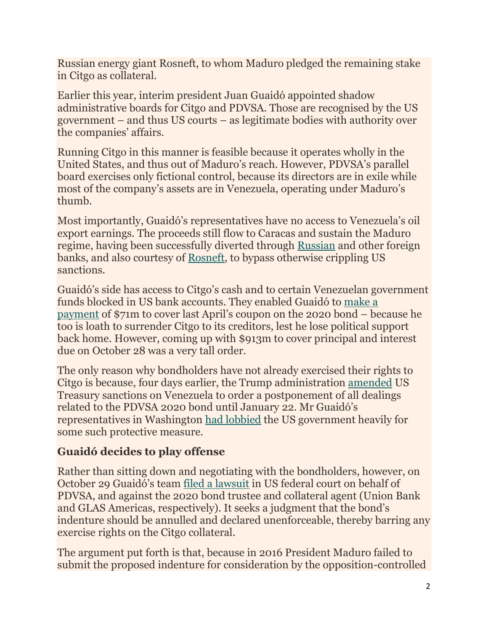Russian energy giant Rosneft, to whom Maduro pledged the remaining stake in Citgo as collateral.

Earlier this year, interim president Juan Guaidó appointed shadow administrative boards for Citgo and PDVSA. Those are recognised by the US government – and thus US courts – as legitimate bodies with authority over the companies' affairs.

Running Citgo in this manner is feasible because it operates wholly in the United States, and thus out of Maduro's reach. However, PDVSA's parallel board exercises only fictional control, because its directors are in exile while most of the company's assets are in Venezuela, operating under Maduro's thumb.

Most importantly, Guaidó's representatives have no access to Venezuela's oil export earnings. The proceeds still flow to Caracas and sustain the Maduro regime, having been successfully diverted through [Russian](https://www.bloomberg.com/news/articles/2018-10-25/venezuela-taps-russian-bank-to-work-around-crippling-sanctions) and other foreign banks, and also courtesy of [Rosneft,](https://www.reuters.com/article/us-venezuela-politics-rosneft-exclusive/exclusive-venezuela-skirts-u-s-sanctions-by-funneling-oil-sales-via-russia-idUSKCN1RU2A4) to bypass otherwise crippling US sanctions.

Guaidó's side has access to Citgo's cash and to certain Venezuelan government funds blocked in US bank accounts. They enabled Guaidó to [make a](https://www.ft.com/content/0dfb740a-ba05-11e9-8a88-aa6628ac896c)  [payment](https://www.ft.com/content/0dfb740a-ba05-11e9-8a88-aa6628ac896c) of \$71m to cover last April's coupon on the 2020 bond – because he too is loath to surrender Citgo to its creditors, lest he lose political support back home. However, coming up with \$913m to cover principal and interest due on October 28 was a very tall order.

The only reason why bondholders have not already exercised their rights to Citgo is because, four days earlier, the Trump administration [amended](https://www.treasury.gov/resource-center/sanctions/Programs/Documents/venezuela_gl5a.pdf) US Treasury sanctions on Venezuela to order a postponement of all dealings related to the PDVSA 2020 bond until January 22. Mr Guaidó's representatives in Washington [had lobbied](https://www.ft.com/content/5f5e070a-f6a4-11e9-a79c-bc9acae3b654) the US government heavily for some such protective measure.

## **Guaidó decides to play offense**

Rather than sitting down and negotiating with the bondholders, however, on October 29 Guaidó's team [filed a lawsuit](https://www.ft.com/content/13681f2a-faa0-11e9-a354-36acbbb0d9b6) in US federal court on behalf of PDVSA, and against the 2020 bond trustee and collateral agent (Union Bank and GLAS Americas, respectively). It seeks a judgment that the bond's indenture should be annulled and declared unenforceable, thereby barring any exercise rights on the Citgo collateral.

The argument put forth is that, because in 2016 President Maduro failed to submit the proposed indenture for consideration by the opposition-controlled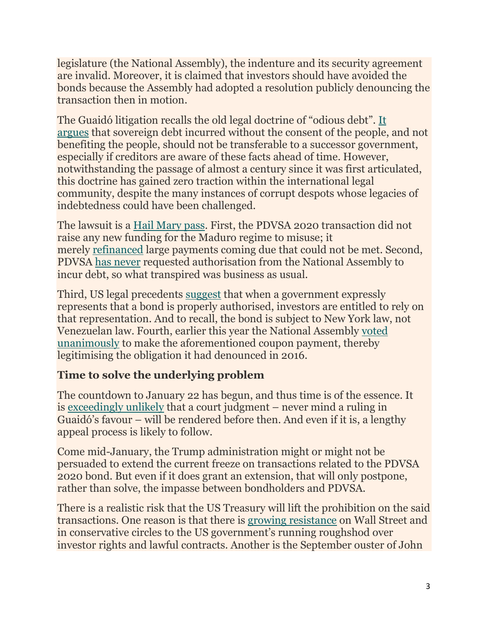legislature (the National Assembly), the indenture and its security agreement are invalid. Moreover, it is claimed that investors should have avoided the bonds because the Assembly had adopted a resolution publicly denouncing the transaction then in motion.

The Guaidó litigation recalls the old legal doctrine of "odious debt". [It](https://www.imf.org/external/pubs/ft/fandd/2002/06/kremer.htm)  [argues](https://www.imf.org/external/pubs/ft/fandd/2002/06/kremer.htm) that sovereign debt incurred without the consent of the people, and not benefiting the people, should not be transferable to a successor government, especially if creditors are aware of these facts ahead of time. However, notwithstanding the passage of almost a century since it was first articulated, this doctrine has gained zero traction within the international legal community, despite the many instances of corrupt despots whose legacies of indebtedness could have been challenged.

The lawsuit is a [Hail Mary pass.](https://en.wikipedia.org/wiki/Hail_Mary_pass) First, the PDVSA 2020 transaction did not raise any new funding for the Maduro regime to misuse; it merely [refinanced](https://www.ft.com/content/e5298570-9a96-11e6-8f9b-70e3cabccfae) large payments coming due that could not be met. Second, PDVSA [has never](https://www.caracaschronicles.com/2017/05/08/inconvenient-fact-not-debt-requires-national-assembly-approval/) requested authorisation from the National Assembly to incur debt, so what transpired was business as usual.

Third, US legal precedents [suggest](https://www.creditslips.org/creditslips/2019/10/a-mini-qa-on-venezuelas-possible-defense-to-foreclosure-on-the-pdvsa-2020.html#more) that when a government expressly represents that a bond is properly authorised, investors are entitled to rely on that representation. And to recall, the bond is subject to New York law, not Venezuelan law. Fourth, earlier this year the National Assembly [voted](https://www.bloomberg.com/news/articles/2019-05-07/venezuela-opposition-congress-approves-pdvsa-2020-bond-payment-jve2ncva)  [unanimously](https://www.bloomberg.com/news/articles/2019-05-07/venezuela-opposition-congress-approves-pdvsa-2020-bond-payment-jve2ncva) to make the aforementioned coupon payment, thereby legitimising the obligation it had denounced in 2016.

## **Time to solve the underlying problem**

The countdown to January 22 has begun, and thus time is of the essence. It is [exceedingly unlikely](https://www.law360.com/articles/1218298/venezuela-won-t-prevail-in-bid-to-nix-2020-bonds-court-told) that a court judgment – never mind a ruling in Guaidó's favour – will be rendered before then. And even if it is, a lengthy appeal process is likely to follow.

Come mid-January, the Trump administration might or might not be persuaded to extend the current freeze on transactions related to the PDVSA 2020 bond. But even if it does grant an extension, that will only postpone, rather than solve, the impasse between bondholders and PDVSA.

There is a realistic risk that the US Treasury will lift the prohibition on the said transactions. One reason is that there is [growing resistance](https://www.ft.com/content/948ad9d6-f022-11e9-ad1e-4367d8281195) on Wall Street and in conservative circles to the US government's running roughshod over investor rights and lawful contracts. Another is the September ouster of John